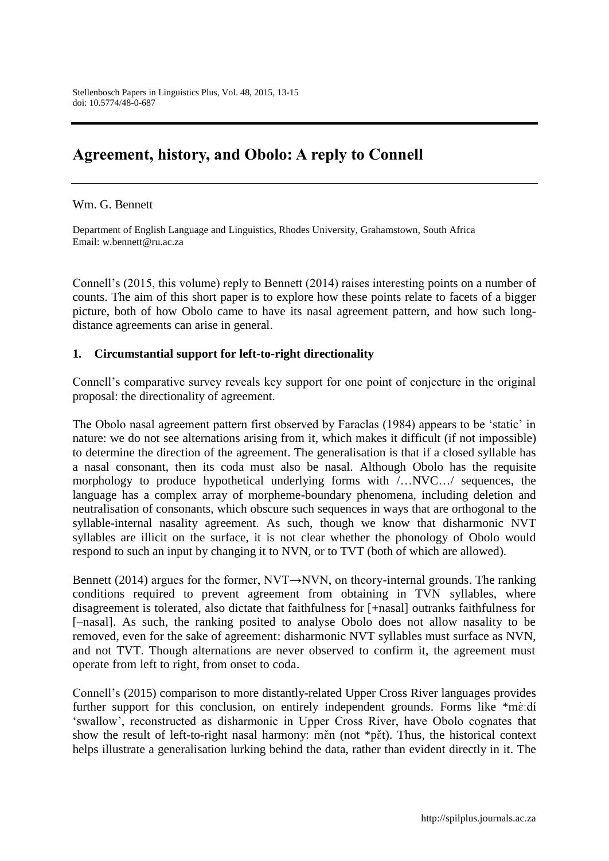## **Agreement, history, and Obolo: A reply to Connell**

Wm. G. Bennett

Department of English Language and Linguistics, Rhodes University, Grahamstown, South Africa Email: w.bennett@ru.ac.za

Connell's (2015, this volume) reply to Bennett (2014) raises interesting points on a number of counts. The aim of this short paper is to explore how these points relate to facets of a bigger picture, both of how Obolo came to have its nasal agreement pattern, and how such longdistance agreements can arise in general.

## **1. Circumstantial support for left-to-right directionality**

Connell's comparative survey reveals key support for one point of conjecture in the original proposal: the directionality of agreement.

The Obolo nasal agreement pattern first observed by Faraclas (1984) appears to be 'static' in nature: we do not see alternations arising from it, which makes it difficult (if not impossible) to determine the direction of the agreement. The generalisation is that if a closed syllable has a nasal consonant, then its coda must also be nasal. Although Obolo has the requisite morphology to produce hypothetical underlying forms with /…NVC…/ sequences, the language has a complex array of morpheme-boundary phenomena, including deletion and neutralisation of consonants, which obscure such sequences in ways that are orthogonal to the syllable-internal nasality agreement. As such, though we know that disharmonic NVT syllables are illicit on the surface, it is not clear whether the phonology of Obolo would respond to such an input by changing it to NVN, or to TVT (both of which are allowed).

Bennett (2014) argues for the former, NVT→NVN, on theory-internal grounds. The ranking conditions required to prevent agreement from obtaining in TVN syllables, where disagreement is tolerated, also dictate that faithfulness for [+nasal] outranks faithfulness for [–nasal]. As such, the ranking posited to analyse Obolo does not allow nasality to be removed, even for the sake of agreement: disharmonic NVT syllables must surface as NVN, and not TVT. Though alternations are never observed to confirm it, the agreement must operate from left to right, from onset to coda.

Connell's (2015) comparison to more distantly-related Upper Cross River languages provides further support for this conclusion, on entirely independent grounds. Forms like \*mè:dí 'swallow', reconstructed as disharmonic in Upper Cross River, have Obolo cognates that show the result of left-to-right nasal harmony: men (not  $\ast p\check{e}t$ ). Thus, the historical context helps illustrate a generalisation lurking behind the data, rather than evident directly in it. The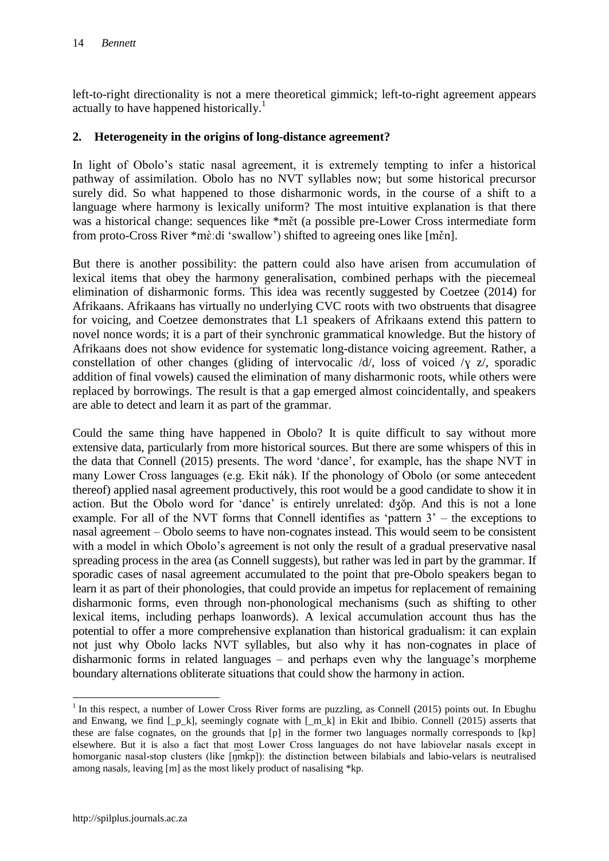left-to-right directionality is not a mere theoretical gimmick; left-to-right agreement appears actually to have happened historically.<sup>1</sup>

## **2. Heterogeneity in the origins of long-distance agreement?**

In light of Obolo's static nasal agreement, it is extremely tempting to infer a historical pathway of assimilation. Obolo has no NVT syllables now; but some historical precursor surely did. So what happened to those disharmonic words, in the course of a shift to a language where harmony is lexically uniform? The most intuitive explanation is that there was a historical change: sequences like \*met (a possible pre-Lower Cross intermediate form from proto-Cross River \*mèːdí 'swallow') shifted to agreeing ones like [měn].

But there is another possibility: the pattern could also have arisen from accumulation of lexical items that obey the harmony generalisation, combined perhaps with the piecemeal elimination of disharmonic forms. This idea was recently suggested by Coetzee (2014) for Afrikaans. Afrikaans has virtually no underlying CVC roots with two obstruents that disagree for voicing, and Coetzee demonstrates that L1 speakers of Afrikaans extend this pattern to novel nonce words; it is a part of their synchronic grammatical knowledge. But the history of Afrikaans does not show evidence for systematic long-distance voicing agreement. Rather, a constellation of other changes (gliding of intervocalic /d/, loss of voiced /ɣ z/, sporadic addition of final vowels) caused the elimination of many disharmonic roots, while others were replaced by borrowings. The result is that a gap emerged almost coincidentally, and speakers are able to detect and learn it as part of the grammar.

Could the same thing have happened in Obolo? It is quite difficult to say without more extensive data, particularly from more historical sources. But there are some whispers of this in the data that Connell (2015) presents The word 'dance', for example, has the shape NVT in many Lower Cross languages (e.g. Ekit n ak). If the phonology of Obolo (or some antecedent thereof) applied nasal agreement productively, this root would be a good candidate to show it in action. But the Obolo word for 'dance' is entirely unrelated: dʒǒp. And this is not a lone example. For all of the NVT forms that Connell identifies as 'pattern  $3'$  – the exceptions to nasal agreement – Obolo seems to have non-cognates instead. This would seem to be consistent with a model in which Obolo's agreement is not only the result of a gradual preservative nasal spreading process in the area (as Connell suggests), but rather was led in part by the grammar. If sporadic cases of nasal agreement accumulated to the point that pre-Obolo speakers began to learn it as part of their phonologies, that could provide an impetus for replacement of remaining disharmonic forms, even through non-phonological mechanisms (such as shifting to other lexical items, including perhaps loanwords). A lexical accumulation account thus has the potential to offer a more comprehensive explanation than historical gradualism: it can explain not just why Obolo lacks NVT syllables, but also why it has non-cognates in place of disharmonic forms in related languages – and perhaps even why the language's morpheme boundary alternations obliterate situations that could show the harmony in action.

 $\overline{a}$ 

<sup>&</sup>lt;sup>1</sup> In this respect, a number of Lower Cross River forms are puzzling, as Connell (2015) points out. In Ebughu and Enwang, we find [\_p\_k], seemingly cognate with [\_m\_k] in Ekit and Ibibio. Connell (2015) asserts that these are false cognates, on the grounds that [p] in the former two languages normally corresponds to [kp] elsewhere. But it is also a fact that most Lower Cross languages do not have labiovelar nasals except in homorganic nasal-stop clusters (like  $\lceil \hat{n} \cdot \hat{n} \rceil$ ): the distinction between bilabials and labio-velars is neutralised among nasals, leaving [m] as the most likely product of nasalising \*kp.